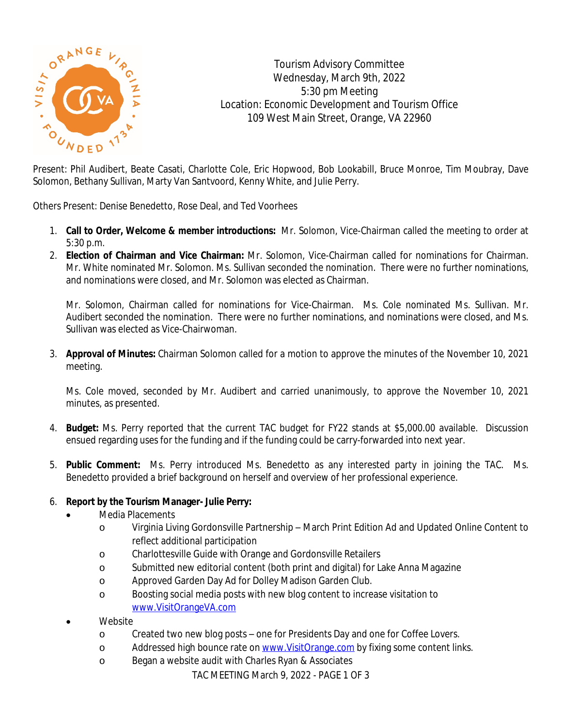

Tourism Advisory Committee Wednesday, March 9th, 2022 5:30 pm Meeting Location: Economic Development and Tourism Office 109 West Main Street, Orange, VA 22960

Present: Phil Audibert, Beate Casati, Charlotte Cole, Eric Hopwood, Bob Lookabill, Bruce Monroe, Tim Moubray, Dave Solomon, Bethany Sullivan, Marty Van Santvoord, Kenny White, and Julie Perry.

Others Present: Denise Benedetto, Rose Deal, and Ted Voorhees

- 1. **Call to Order, Welcome & member introductions:** Mr. Solomon, Vice-Chairman called the meeting to order at 5:30 p.m.
- 2. **Election of Chairman and Vice Chairman:** Mr. Solomon, Vice-Chairman called for nominations for Chairman. Mr. White nominated Mr. Solomon. Ms. Sullivan seconded the nomination. There were no further nominations, and nominations were closed, and Mr. Solomon was elected as Chairman.

Mr. Solomon, Chairman called for nominations for Vice-Chairman. Ms. Cole nominated Ms. Sullivan. Mr. Audibert seconded the nomination. There were no further nominations, and nominations were closed, and Ms. Sullivan was elected as Vice-Chairwoman.

3. **Approval of Minutes:** Chairman Solomon called for a motion to approve the minutes of the November 10, 2021 meeting.

Ms. Cole moved, seconded by Mr. Audibert and carried unanimously, to approve the November 10, 2021 minutes, as presented.

- 4. **Budget:** Ms. Perry reported that the current TAC budget for FY22 stands at \$5,000.00 available. Discussion ensued regarding uses for the funding and if the funding could be carry-forwarded into next year.
- 5. **Public Comment:** Ms. Perry introduced Ms. Benedetto as any interested party in joining the TAC. Ms. Benedetto provided a brief background on herself and overview of her professional experience.

## 6. **Report by the Tourism Manager- Julie Perry:**

- Media Placements
	- o Virginia Living Gordonsville Partnership March Print Edition Ad and Updated Online Content to reflect additional participation
	- o Charlottesville Guide with Orange and Gordonsville Retailers
	- o Submitted new editorial content (both print and digital) for Lake Anna Magazine
	- o Approved Garden Day Ad for Dolley Madison Garden Club.
	- o Boosting social media posts with new blog content to increase visitation to [www.VisitOrangeVA.com](http://www.VisitOrangeVA.com)
- Website
	- o Created two new blog posts one for Presidents Day and one for Coffee Lovers.
	- o Addressed high bounce rate on [www.VisitOrange.com](http://www.VisitOrange.com) by fixing some content links.
	- o Began a website audit with Charles Ryan & Associates

TAC MEETING March 9, 2022 - PAGE 1 OF 3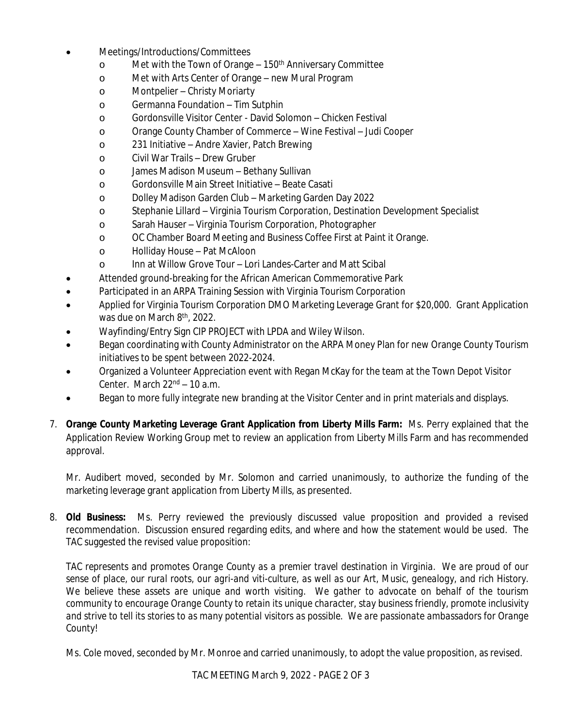- Meetings/Introductions/Committees
	- o Met with the Town of Orange 150th Anniversary Committee
	- o Met with Arts Center of Orange new Mural Program
	- o Montpelier Christy Moriarty
	- o Germanna Foundation Tim Sutphin
	- o Gordonsville Visitor Center David Solomon Chicken Festival
	- o Orange County Chamber of Commerce Wine Festival Judi Cooper
	- o 231 Initiative Andre Xavier, Patch Brewing
	- o Civil War Trails Drew Gruber
	- o James Madison Museum Bethany Sullivan
	- o Gordonsville Main Street Initiative Beate Casati
	- o Dolley Madison Garden Club Marketing Garden Day 2022
	- o Stephanie Lillard Virginia Tourism Corporation, Destination Development Specialist
	- o Sarah Hauser Virginia Tourism Corporation, Photographer
	- o OC Chamber Board Meeting and Business Coffee First at Paint it Orange.
	- o Holliday House Pat McAloon
	- o Inn at Willow Grove Tour Lori Landes-Carter and Matt Scibal
- Attended ground-breaking for the African American Commemorative Park
- Participated in an ARPA Training Session with Virginia Tourism Corporation
- Applied for Virginia Tourism Corporation DMO Marketing Leverage Grant for \$20,000. Grant Application was due on March 8<sup>th</sup>, 2022.
- Wayfinding/Entry Sign CIP PROJECT with LPDA and Wiley Wilson.
- Began coordinating with County Administrator on the ARPA Money Plan for new Orange County Tourism initiatives to be spent between 2022-2024.
- Organized a Volunteer Appreciation event with Regan McKay for the team at the Town Depot Visitor Center. March  $22<sup>nd</sup> - 10$  a.m.
- Began to more fully integrate new branding at the Visitor Center and in print materials and displays.
- 7. **Orange County Marketing Leverage Grant Application from Liberty Mills Farm:** Ms. Perry explained that the Application Review Working Group met to review an application from Liberty Mills Farm and has recommended approval.

Mr. Audibert moved, seconded by Mr. Solomon and carried unanimously, to authorize the funding of the marketing leverage grant application from Liberty Mills, as presented.

8. **Old Business:** Ms. Perry reviewed the previously discussed value proposition and provided a revised recommendation. Discussion ensured regarding edits, and where and how the statement would be used. The TAC suggested the revised value proposition:

TAC represents and promotes Orange County as a premier travel destination in Virginia. We are proud of our sense of place, our rural roots, our agri-and viti-culture, as well as our Art, Music, genealogy, and rich History. We believe these assets are unique and worth visiting. We gather to advocate on behalf of the tourism *community to encourage Orange County to retain its unique character, stay business friendly, promote inclusivity* and strive to tell its stories to as many potential visitors as possible. We are passionate ambassadors for Orange *County*!

Ms. Cole moved, seconded by Mr. Monroe and carried unanimously, to adopt the value proposition, as revised.